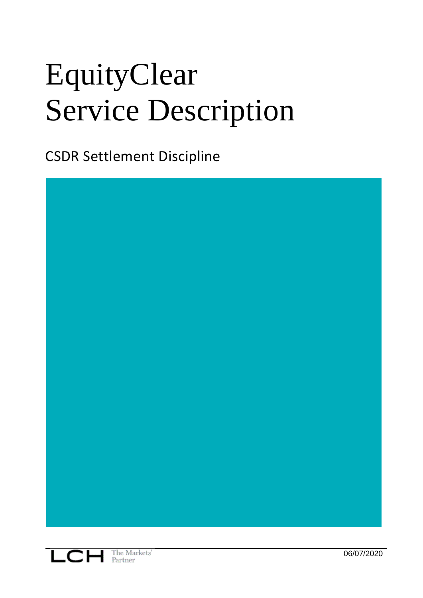# EquityClear Service Description

CSDR Settlement Discipline

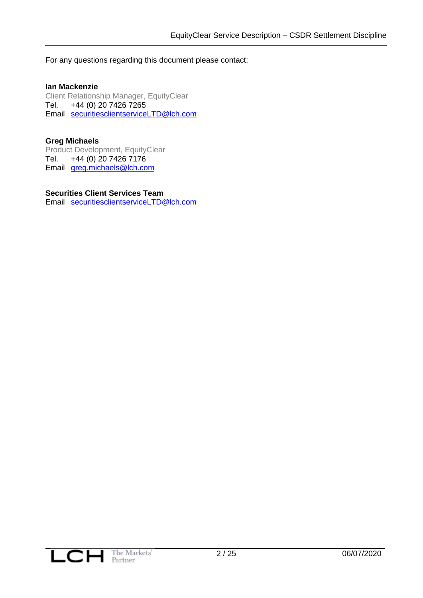For any questions regarding this document please contact:

### **Ian Mackenzie**

Client Relationship Manager, EquityClear Tel. +44 (0) 20 7426 7265 Email [securitiesclientserviceLTD@lch.com](mailto:ian.mackenzie@lch.com)

### **Greg Michaels**

Product Development, EquityClear Tel. +44 (0) 20 7426 7176 Email [greg.michaels@lch.com](mailto:greg.michaels@lch.com)

### **Securities Client Services Team**

Email [securitiesclientserviceLTD@lch.com](mailto:securitiesclientserviceLTD@lch.com)

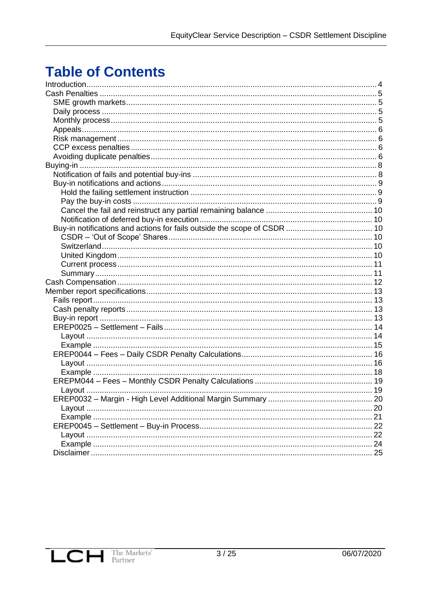# **Table of Contents**

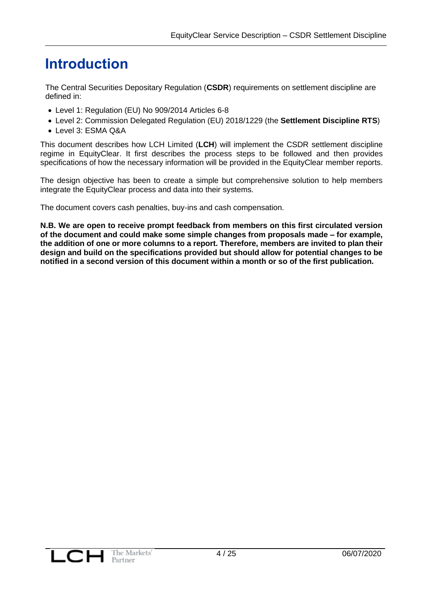# <span id="page-3-0"></span>**Introduction**

The Central Securities Depositary Regulation (**CSDR**) requirements on settlement discipline are defined in:

- Level 1: Regulation (EU) No 909/2014 Articles 6-8
- Level 2: Commission Delegated Regulation (EU) 2018/1229 (the **Settlement Discipline RTS**)
- Level 3: ESMA Q&A

This document describes how LCH Limited (**LCH**) will implement the CSDR settlement discipline regime in EquityClear. It first describes the process steps to be followed and then provides specifications of how the necessary information will be provided in the EquityClear member reports.

The design objective has been to create a simple but comprehensive solution to help members integrate the EquityClear process and data into their systems.

The document covers cash penalties, buy-ins and cash compensation.

**N.B. We are open to receive prompt feedback from members on this first circulated version of the document and could make some simple changes from proposals made – for example, the addition of one or more columns to a report. Therefore, members are invited to plan their design and build on the specifications provided but should allow for potential changes to be notified in a second version of this document within a month or so of the first publication.** 

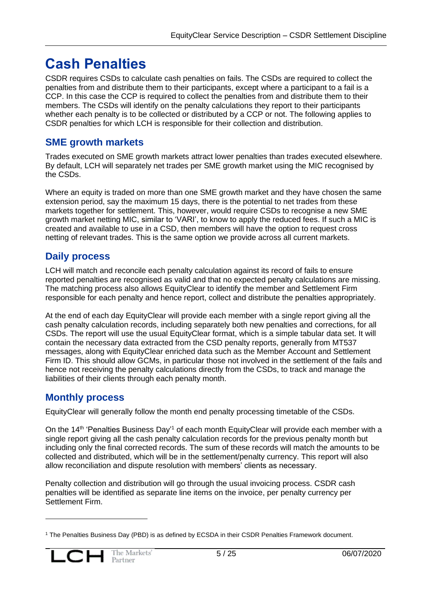# <span id="page-4-0"></span>**Cash Penalties**

CSDR requires CSDs to calculate cash penalties on fails. The CSDs are required to collect the penalties from and distribute them to their participants, except where a participant to a fail is a CCP. In this case the CCP is required to collect the penalties from and distribute them to their members. The CSDs will identify on the penalty calculations they report to their participants whether each penalty is to be collected or distributed by a CCP or not. The following applies to CSDR penalties for which LCH is responsible for their collection and distribution.

# <span id="page-4-1"></span>**SME growth markets**

Trades executed on SME growth markets attract lower penalties than trades executed elsewhere. By default, LCH will separately net trades per SME growth market using the MIC recognised by the CSDs.

Where an equity is traded on more than one SME growth market and they have chosen the same extension period, say the maximum 15 days, there is the potential to net trades from these markets together for settlement. This, however, would require CSDs to recognise a new SME growth market netting MIC, similar to 'VARI', to know to apply the reduced fees. If such a MIC is created and available to use in a CSD, then members will have the option to request cross netting of relevant trades. This is the same option we provide across all current markets.

# <span id="page-4-2"></span>**Daily process**

LCH will match and reconcile each penalty calculation against its record of fails to ensure reported penalties are recognised as valid and that no expected penalty calculations are missing. The matching process also allows EquityClear to identify the member and Settlement Firm responsible for each penalty and hence report, collect and distribute the penalties appropriately.

At the end of each day EquityClear will provide each member with a single report giving all the cash penalty calculation records, including separately both new penalties and corrections, for all CSDs. The report will use the usual EquityClear format, which is a simple tabular data set. It will contain the necessary data extracted from the CSD penalty reports, generally from MT537 messages, along with EquityClear enriched data such as the Member Account and Settlement Firm ID. This should allow GCMs, in particular those not involved in the settlement of the fails and hence not receiving the penalty calculations directly from the CSDs, to track and manage the liabilities of their clients through each penalty month.

# <span id="page-4-3"></span>**Monthly process**

EquityClear will generally follow the month end penalty processing timetable of the CSDs.

On the 14<sup>th</sup> 'Penalties Business Day'<sup>1</sup> of each month EquityClear will provide each member with a single report giving all the cash penalty calculation records for the previous penalty month but including only the final corrected records. The sum of these records will match the amounts to be collected and distributed, which will be in the settlement/penalty currency. This report will also allow reconciliation and dispute resolution with members' clients as necessary.

Penalty collection and distribution will go through the usual invoicing process. CSDR cash penalties will be identified as separate line items on the invoice, per penalty currency per Settlement Firm.

<sup>1</sup> The Penalties Business Day (PBD) is as defined by ECSDA in their CSDR Penalties Framework document.

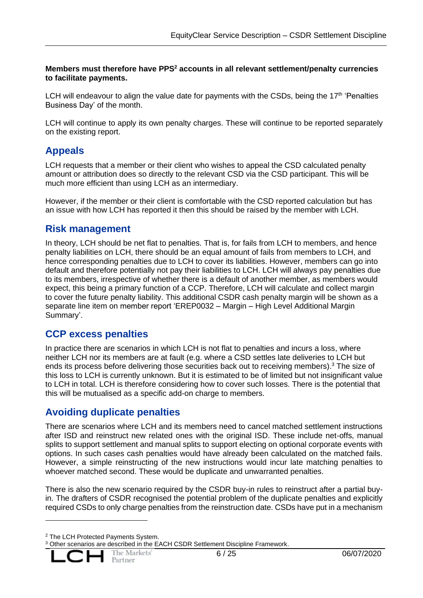### **Members must therefore have PPS<sup>2</sup> accounts in all relevant settlement/penalty currencies to facilitate payments.**

LCH will endeavour to align the value date for payments with the CSDs, being the  $17<sup>th</sup>$  'Penalties Business Day' of the month.

LCH will continue to apply its own penalty charges. These will continue to be reported separately on the existing report.

# <span id="page-5-0"></span>**Appeals**

LCH requests that a member or their client who wishes to appeal the CSD calculated penalty amount or attribution does so directly to the relevant CSD via the CSD participant. This will be much more efficient than using LCH as an intermediary.

However, if the member or their client is comfortable with the CSD reported calculation but has an issue with how LCH has reported it then this should be raised by the member with LCH.

### <span id="page-5-1"></span>**Risk management**

In theory, LCH should be net flat to penalties. That is, for fails from LCH to members, and hence penalty liabilities on LCH, there should be an equal amount of fails from members to LCH, and hence corresponding penalties due to LCH to cover its liabilities. However, members can go into default and therefore potentially not pay their liabilities to LCH. LCH will always pay penalties due to its members, irrespective of whether there is a default of another member, as members would expect, this being a primary function of a CCP. Therefore, LCH will calculate and collect margin to cover the future penalty liability. This additional CSDR cash penalty margin will be shown as a separate line item on member report 'EREP0032 – Margin – High Level Additional Margin Summary'.

# <span id="page-5-2"></span>**CCP excess penalties**

In practice there are scenarios in which LCH is not flat to penalties and incurs a loss, where neither LCH nor its members are at fault (e.g. where a CSD settles late deliveries to LCH but ends its process before delivering those securities back out to receiving members).<sup>3</sup> The size of this loss to LCH is currently unknown. But it is estimated to be of limited but not insignificant value to LCH in total. LCH is therefore considering how to cover such losses. There is the potential that this will be mutualised as a specific add-on charge to members.

# <span id="page-5-3"></span>**Avoiding duplicate penalties**

There are scenarios where LCH and its members need to cancel matched settlement instructions after ISD and reinstruct new related ones with the original ISD. These include net-offs, manual splits to support settlement and manual splits to support electing on optional corporate events with options. In such cases cash penalties would have already been calculated on the matched fails. However, a simple reinstructing of the new instructions would incur late matching penalties to whoever matched second. These would be duplicate and unwarranted penalties.

There is also the new scenario required by the CSDR buy-in rules to reinstruct after a partial buyin. The drafters of CSDR recognised the potential problem of the duplicate penalties and explicitly required CSDs to only charge penalties from the reinstruction date. CSDs have put in a mechanism

<sup>&</sup>lt;sup>3</sup> Other scenarios are described in the EACH CSDR Settlement Discipline Framework.



<sup>2</sup> The LCH Protected Payments System.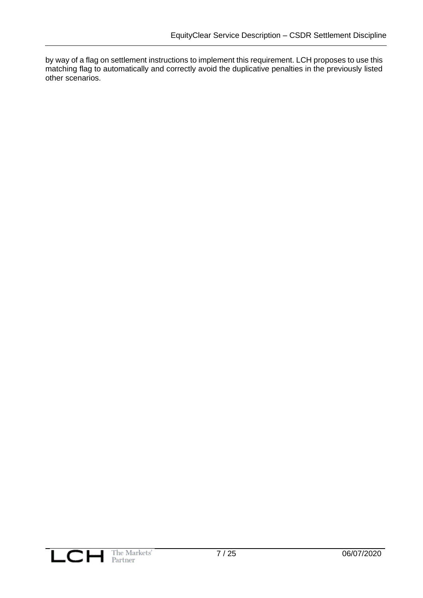by way of a flag on settlement instructions to implement this requirement. LCH proposes to use this matching flag to automatically and correctly avoid the duplicative penalties in the previously listed other scenarios.

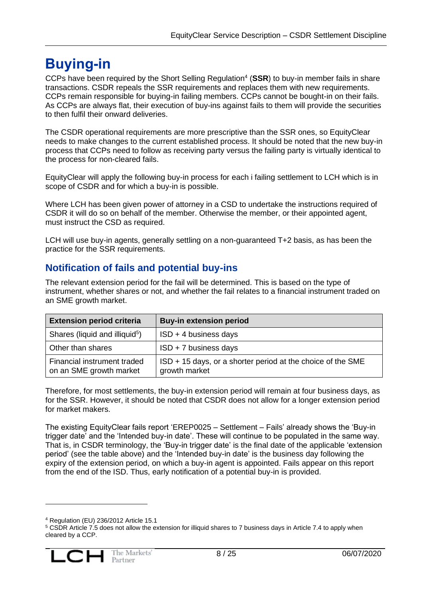# <span id="page-7-0"></span>**Buying-in**

CCPs have been required by the Short Selling Regulation<sup>4</sup> (SSR) to buy-in member fails in share transactions. CSDR repeals the SSR requirements and replaces them with new requirements. CCPs remain responsible for buying-in failing members. CCPs cannot be bought-in on their fails. As CCPs are always flat, their execution of buy-ins against fails to them will provide the securities to then fulfil their onward deliveries.

The CSDR operational requirements are more prescriptive than the SSR ones, so EquityClear needs to make changes to the current established process. It should be noted that the new buy-in process that CCPs need to follow as receiving party versus the failing party is virtually identical to the process for non-cleared fails.

EquityClear will apply the following buy-in process for each i failing settlement to LCH which is in scope of CSDR and for which a buy-in is possible.

Where LCH has been given power of attorney in a CSD to undertake the instructions required of CSDR it will do so on behalf of the member. Otherwise the member, or their appointed agent, must instruct the CSD as required.

LCH will use buy-in agents, generally settling on a non-guaranteed T+2 basis, as has been the practice for the SSR requirements.

# <span id="page-7-1"></span>**Notification of fails and potential buy-ins**

The relevant extension period for the fail will be determined. This is based on the type of instrument, whether shares or not, and whether the fail relates to a financial instrument traded on an SME growth market.

| <b>Extension period criteria</b>                       | <b>Buy-in extension period</b>                                               |
|--------------------------------------------------------|------------------------------------------------------------------------------|
| Shares (liquid and illiquid <sup>5</sup> )             | $ISD + 4$ business days                                                      |
| Other than shares                                      | $ISD + 7$ business days                                                      |
| Financial instrument traded<br>on an SME growth market | ISD + 15 days, or a shorter period at the choice of the SME<br>growth market |

Therefore, for most settlements, the buy-in extension period will remain at four business days, as for the SSR. However, it should be noted that CSDR does not allow for a longer extension period for market makers.

The existing EquityClear fails report 'EREP0025 – Settlement – Fails' already shows the 'Buy-in trigger date' and the 'Intended buy-in date'. These will continue to be populated in the same way. That is, in CSDR terminology, the 'Buy-in trigger date' is the final date of the applicable 'extension period' (see the table above) and the 'Intended buy-in date' is the business day following the expiry of the extension period, on which a buy-in agent is appointed. Fails appear on this report from the end of the ISD. Thus, early notification of a potential buy-in is provided.

<sup>4</sup> Regulation (EU) 236/2012 Article 15.1

<sup>&</sup>lt;sup>5</sup> CSDR Article 7.5 does not allow the extension for illiquid shares to 7 business days in Article 7.4 to apply when cleared by a CCP.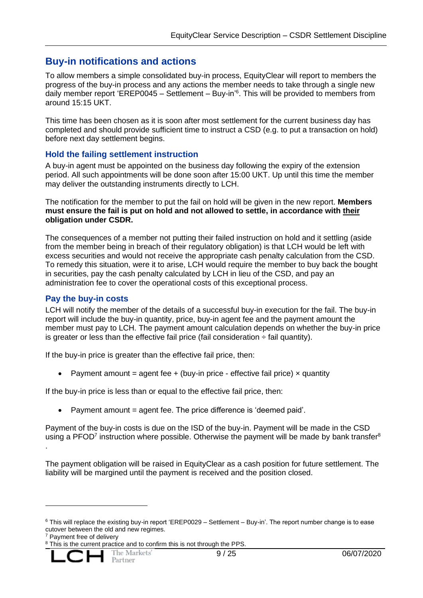### <span id="page-8-0"></span>**Buy-in notifications and actions**

To allow members a simple consolidated buy-in process, EquityClear will report to members the progress of the buy-in process and any actions the member needs to take through a single new daily member report 'EREP0045 - Settlement - Buy-in'<sup>6</sup>. This will be provided to members from around 15:15 UKT.

This time has been chosen as it is soon after most settlement for the current business day has completed and should provide sufficient time to instruct a CSD (e.g. to put a transaction on hold) before next day settlement begins.

### <span id="page-8-1"></span>**Hold the failing settlement instruction**

A buy-in agent must be appointed on the business day following the expiry of the extension period. All such appointments will be done soon after 15:00 UKT. Up until this time the member may deliver the outstanding instruments directly to LCH.

The notification for the member to put the fail on hold will be given in the new report. **Members must ensure the fail is put on hold and not allowed to settle, in accordance with their obligation under CSDR.**

The consequences of a member not putting their failed instruction on hold and it settling (aside from the member being in breach of their regulatory obligation) is that LCH would be left with excess securities and would not receive the appropriate cash penalty calculation from the CSD. To remedy this situation, were it to arise, LCH would require the member to buy back the bought in securities, pay the cash penalty calculated by LCH in lieu of the CSD, and pay an administration fee to cover the operational costs of this exceptional process.

### <span id="page-8-2"></span>**Pay the buy-in costs**

LCH will notify the member of the details of a successful buy-in execution for the fail. The buy-in report will include the buy-in quantity, price, buy-in agent fee and the payment amount the member must pay to LCH. The payment amount calculation depends on whether the buy-in price is greater or less than the effective fail price (fail consideration  $\div$  fail quantity).

If the buy-in price is greater than the effective fail price, then:

• Payment amount = agent fee + (buy-in price - effective fail price)  $\times$  quantity

If the buy-in price is less than or equal to the effective fail price, then:

• Payment amount = agent fee. The price difference is 'deemed paid'.

Payment of the buy-in costs is due on the ISD of the buy-in. Payment will be made in the CSD using a PFOD<sup>7</sup> instruction where possible. Otherwise the payment will be made by bank transfer<sup>8</sup> .

The payment obligation will be raised in EquityClear as a cash position for future settlement. The liability will be margined until the payment is received and the position closed.

Payment free of delivery

<sup>&</sup>lt;sup>8</sup> This is the current practice and to confirm this is not through the PPS.



 $6$  This will replace the existing buy-in report 'EREP0029 – Settlement – Buy-in'. The report number change is to ease cutover between the old and new regimes.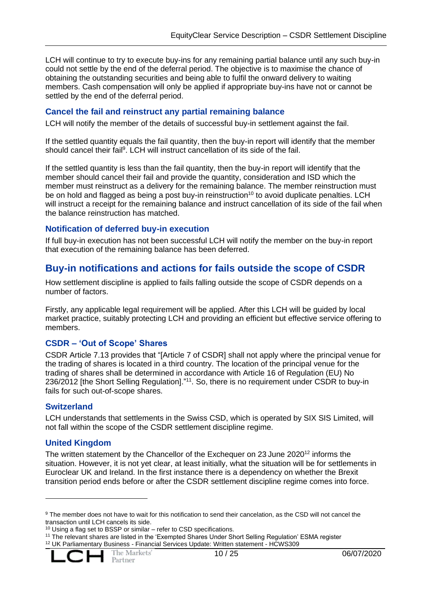LCH will continue to try to execute buy-ins for any remaining partial balance until any such buy-in could not settle by the end of the deferral period. The objective is to maximise the chance of obtaining the outstanding securities and being able to fulfil the onward delivery to waiting members. Cash compensation will only be applied if appropriate buy-ins have not or cannot be settled by the end of the deferral period.

### <span id="page-9-0"></span>**Cancel the fail and reinstruct any partial remaining balance**

LCH will notify the member of the details of successful buy-in settlement against the fail.

If the settled quantity equals the fail quantity, then the buy-in report will identify that the member should cancel their fail<sup>9</sup>. LCH will instruct cancellation of its side of the fail.

If the settled quantity is less than the fail quantity, then the buy-in report will identify that the member should cancel their fail and provide the quantity, consideration and ISD which the member must reinstruct as a delivery for the remaining balance. The member reinstruction must be on hold and flagged as being a post buy-in reinstruction<sup>10</sup> to avoid duplicate penalties. LCH will instruct a receipt for the remaining balance and instruct cancellation of its side of the fail when the balance reinstruction has matched.

### <span id="page-9-1"></span>**Notification of deferred buy-in execution**

If full buy-in execution has not been successful LCH will notify the member on the buy-in report that execution of the remaining balance has been deferred.

### <span id="page-9-2"></span>**Buy-in notifications and actions for fails outside the scope of CSDR**

How settlement discipline is applied to fails falling outside the scope of CSDR depends on a number of factors.

Firstly, any applicable legal requirement will be applied. After this LCH will be guided by local market practice, suitably protecting LCH and providing an efficient but effective service offering to members.

### <span id="page-9-3"></span>**CSDR – 'Out of Scope' Shares**

CSDR Article 7.13 provides that "[Article 7 of CSDR] shall not apply where the principal venue for the trading of shares is located in a third country. The location of the principal venue for the trading of shares shall be determined in accordance with Article 16 of Regulation (EU) No 236/2012 [the Short Selling Regulation]."<sup>11</sup>. So, there is no requirement under CSDR to buy-in fails for such out-of-scope shares.

### <span id="page-9-4"></span>**Switzerland**

LCH understands that settlements in the Swiss CSD, which is operated by SIX SIS Limited, will not fall within the scope of the CSDR settlement discipline regime.

### <span id="page-9-5"></span>**United Kingdom**

The written statement by the Chancellor of the Exchequer on 23 June 2020<sup>12</sup> informs the situation. However, it is not yet clear, at least initially, what the situation will be for settlements in Euroclear UK and Ireland. In the first instance there is a dependency on whether the Brexit transition period ends before or after the CSDR settlement discipline regime comes into force.

<sup>11</sup> The relevant shares are listed in the 'Exempted Shares Under Short Selling Regulation' ESMA register <sup>12</sup> UK Parliamentary Business - Financial Services Update: Written statement - HCWS309



<sup>9</sup> The member does not have to wait for this notification to send their cancelation, as the CSD will not cancel the transaction until LCH cancels its side.

<sup>10</sup> Using a flag set to BSSP or similar – refer to CSD specifications.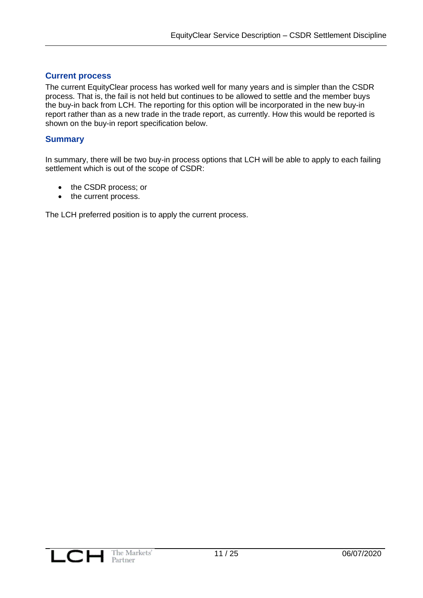### <span id="page-10-0"></span>**Current process**

The current EquityClear process has worked well for many years and is simpler than the CSDR process. That is, the fail is not held but continues to be allowed to settle and the member buys the buy-in back from LCH. The reporting for this option will be incorporated in the new buy-in report rather than as a new trade in the trade report, as currently. How this would be reported is shown on the buy-in report specification below.

### <span id="page-10-1"></span>**Summary**

In summary, there will be two buy-in process options that LCH will be able to apply to each failing settlement which is out of the scope of CSDR:

- the CSDR process; or
- the current process.

The LCH preferred position is to apply the current process.

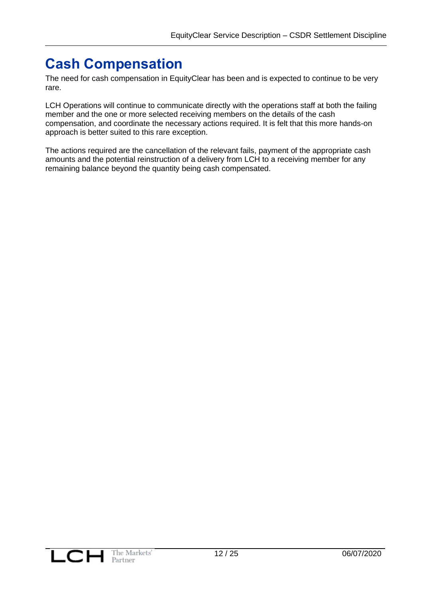# <span id="page-11-0"></span>**Cash Compensation**

The need for cash compensation in EquityClear has been and is expected to continue to be very rare.

LCH Operations will continue to communicate directly with the operations staff at both the failing member and the one or more selected receiving members on the details of the cash compensation, and coordinate the necessary actions required. It is felt that this more hands-on approach is better suited to this rare exception.

The actions required are the cancellation of the relevant fails, payment of the appropriate cash amounts and the potential reinstruction of a delivery from LCH to a receiving member for any remaining balance beyond the quantity being cash compensated.

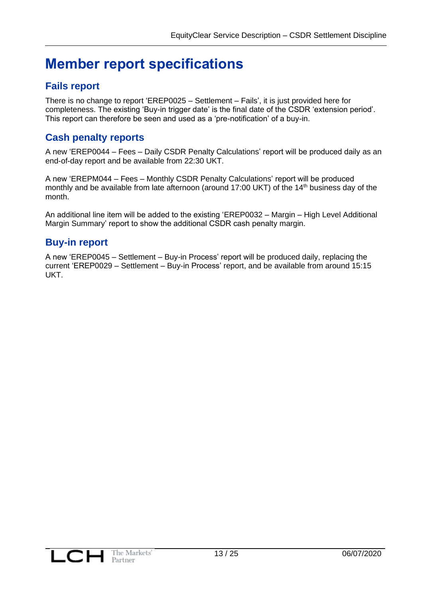# <span id="page-12-0"></span>**Member report specifications**

# <span id="page-12-1"></span>**Fails report**

There is no change to report 'EREP0025 – Settlement – Fails', it is just provided here for completeness. The existing 'Buy-in trigger date' is the final date of the CSDR 'extension period'. This report can therefore be seen and used as a 'pre-notification' of a buy-in.

# <span id="page-12-2"></span>**Cash penalty reports**

A new 'EREP0044 – Fees – Daily CSDR Penalty Calculations' report will be produced daily as an end-of-day report and be available from 22:30 UKT.

A new 'EREPM044 – Fees – Monthly CSDR Penalty Calculations' report will be produced monthly and be available from late afternoon (around 17:00 UKT) of the 14<sup>th</sup> business day of the month.

An additional line item will be added to the existing 'EREP0032 – Margin – High Level Additional Margin Summary' report to show the additional CSDR cash penalty margin.

# <span id="page-12-3"></span>**Buy-in report**

A new 'EREP0045 – Settlement – Buy-in Process' report will be produced daily, replacing the current 'EREP0029 – Settlement – Buy-in Process' report, and be available from around 15:15 UKT.

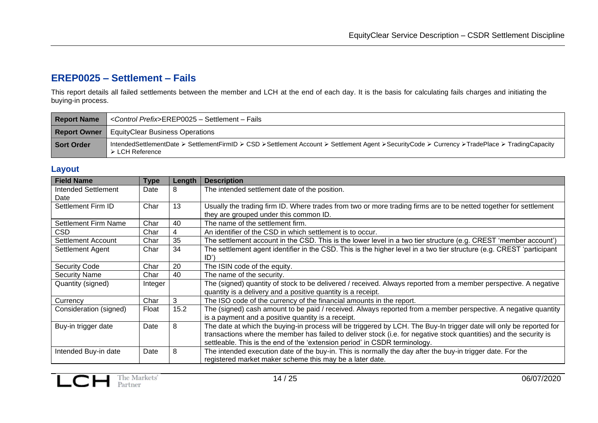# **EREP0025 – Settlement – Fails**

This report details all failed settlements between the member and LCH at the end of each day. It is the basis for calculating fails charges and initiating the buying-in process.

| <b>Report Name</b> | <control prefix="">EREP0025 - Settlement - Fails</control>                                                                                                                      |
|--------------------|---------------------------------------------------------------------------------------------------------------------------------------------------------------------------------|
|                    | <b>Report Owner</b>   EquityClear Business Operations                                                                                                                           |
| Sort Order         | IntendedSettlementDate ≻ SettlementFirmID ≻ CSD ≻Settlement Account ≻ Settlement Agent ≻SecurityCode ≻ Currency ≻TradePlace ≻ TradingCapacity<br>$\triangleright$ LCH Reference |

### **Layout**

<span id="page-13-1"></span><span id="page-13-0"></span>

| <b>Field Name</b>          | <b>Type</b> | Length | <b>Description</b>                                                                                                    |
|----------------------------|-------------|--------|-----------------------------------------------------------------------------------------------------------------------|
| <b>Intended Settlement</b> | Date        | 8      | The intended settlement date of the position.                                                                         |
| Date                       |             |        |                                                                                                                       |
| Settlement Firm ID         | Char        | 13     | Usually the trading firm ID. Where trades from two or more trading firms are to be netted together for settlement     |
|                            |             |        | they are grouped under this common ID.                                                                                |
| Settlement Firm Name       | Char        | 40     | The name of the settlement firm.                                                                                      |
| CSD.                       | Char        | 4      | An identifier of the CSD in which settlement is to occur.                                                             |
| Settlement Account         | Char        | 35     | The settlement account in the CSD. This is the lower level in a two tier structure (e.g. CREST 'member account')      |
| Settlement Agent           | Char        | 34     | The settlement agent identifier in the CSD. This is the higher level in a two tier structure (e.g. CREST 'participant |
|                            |             |        | ID'                                                                                                                   |
| <b>Security Code</b>       | Char        | 20     | The ISIN code of the equity.                                                                                          |
| <b>Security Name</b>       | Char        | 40     | The name of the security.                                                                                             |
| Quantity (signed)          | Integer     |        | The (signed) quantity of stock to be delivered / received. Always reported from a member perspective. A negative      |
|                            |             |        | quantity is a delivery and a positive quantity is a receipt.                                                          |
| Currency                   | Char        | 3      | The ISO code of the currency of the financial amounts in the report.                                                  |
| Consideration (signed)     | Float       | 15.2   | The (signed) cash amount to be paid / received. Always reported from a member perspective. A negative quantity        |
|                            |             |        | is a payment and a positive quantity is a receipt.                                                                    |
| Buy-in trigger date        | Date        | 8      | The date at which the buying-in process will be triggered by LCH. The Buy-In trigger date will only be reported for   |
|                            |             |        | transactions where the member has failed to deliver stock (i.e. for negative stock quantities) and the security is    |
|                            |             |        | settleable. This is the end of the 'extension period' in CSDR terminology.                                            |
| Intended Buy-in date       | Date        | 8      | The intended execution date of the buy-in. This is normally the day after the buy-in trigger date. For the            |
|                            |             |        | registered market maker scheme this may be a later date.                                                              |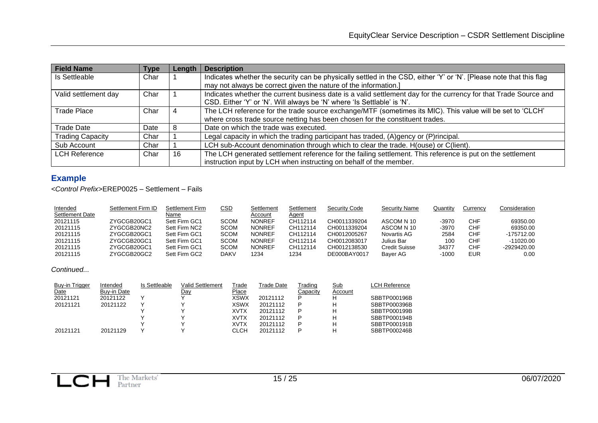| <b>Field Name</b>       | Type | Length | <b>Description</b>                                                                                                  |
|-------------------------|------|--------|---------------------------------------------------------------------------------------------------------------------|
| Is Settleable           | Char |        | Indicates whether the security can be physically settled in the CSD, either 'Y' or 'N'. [Please note that this flag |
|                         |      |        | may not always be correct given the nature of the information.]                                                     |
| Valid settlement day    | Char |        | Indicates whether the current business date is a valid settlement day for the currency for that Trade Source and    |
|                         |      |        | CSD. Either 'Y' or 'N'. Will always be 'N' where 'Is Settlable' is 'N'.                                             |
| <b>Trade Place</b>      | Char | 4      | The LCH reference for the trade source exchange/MTF (sometimes its MIC). This value will be set to 'CLCH'           |
|                         |      |        | where cross trade source netting has been chosen for the constituent trades.                                        |
| <b>Trade Date</b>       | Date | 8      | Date on which the trade was executed.                                                                               |
| <b>Trading Capacity</b> | Char |        | Legal capacity in which the trading participant has traded, (A)gency or (P)rincipal.                                |
| Sub Account             | Char |        | LCH sub-Account denomination through which to clear the trade. H(ouse) or C(lient).                                 |
| <b>LCH Reference</b>    | Char | 16     | The LCH generated settlement reference for the failing settlement. This reference is put on the settlement          |
|                         |      |        | instruction input by LCH when instructing on behalf of the member.                                                  |

# **Example**

*<Control Prefix>*EREP0025 – Settlement – Fails

| Intended               | Settlement Firm ID | Settlement Firm | CSD         | Settlement    | Settlement | <b>Security Code</b> | <b>Security Name</b> | Quantity | Currencv | Consideration |
|------------------------|--------------------|-----------------|-------------|---------------|------------|----------------------|----------------------|----------|----------|---------------|
| <b>Settlement Date</b> |                    | Name            |             | Account       | Agent      |                      |                      |          |          |               |
| 20121115               | ZYGCGB20GC1        | Sett Firm GC1   | <b>SCOM</b> | <b>NONREF</b> | CH112114   | CH0011339204         | ASCOM N 10           | -3970    | CHF      | 69350.00      |
| 20121115               | ZYGCGB20NC2        | Sett Firm NC2   | <b>SCOM</b> | <b>NONREF</b> | CH112114   | CH0011339204         | ASCOM N 10           | -3970    | CHF      | 69350.00      |
| 20121115               | ZYGCGB20GC1        | Sett Firm GC1   | SCOM        | <b>NONREF</b> | CH112114   | CH0012005267         | Novartis AG          | 2584     | CHF      | $-175712.00$  |
| 20121115               | ZYGCGB20GC1        | Sett Firm GC1   | <b>SCOM</b> | <b>NONREF</b> | CH112114   | CH0012083017         | Julius Bar           | 100      | CHF      | $-11020.00$   |
| 20121115               | ZYGCGB20GC1        | Sett Firm GC1   | SCOM        | <b>NONREF</b> | CH112114   | CH0012138530         | Credit Suisse        | 34377    | CHF      | -2929420.00   |
| 20121115               | ZYGCGB20GC2        | Sett Firm GC2   | <b>DAKV</b> | 1234          | 1234       | DE000BAY0017         | Bayer AG             | -1000    | EUR      | 0.00          |

*Continued...*

<span id="page-14-0"></span>

| LCH Reference |
|---------------|
|               |
| SBBTP000196B  |
| SBBTP000396B  |
| SBBTP000199B  |
| SBBTP000194B  |
| SBBTP000191B  |
| SBBTP000246B  |
|               |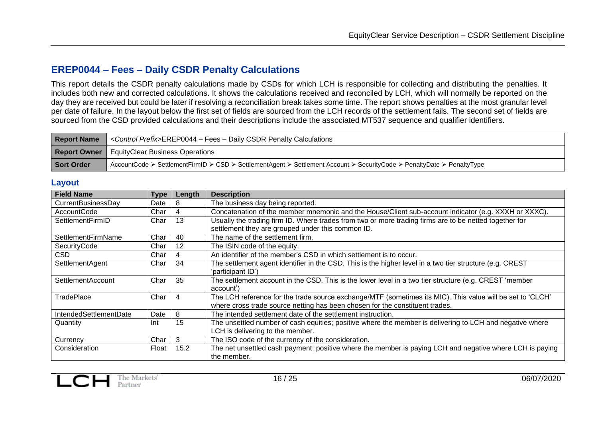### **EREP0044 – Fees – Daily CSDR Penalty Calculations**

This report details the CSDR penalty calculations made by CSDs for which LCH is responsible for collecting and distributing the penalties. It includes both new and corrected calculations. It shows the calculations received and reconciled by LCH, which will normally be reported on the day they are received but could be later if resolving a reconciliation break takes some time. The report shows penalties at the most granular level per date of failure. In the layout below the first set of fields are sourced from the LCH records of the settlement fails. The second set of fields are sourced from the CSD provided calculations and their descriptions include the associated MT537 sequence and qualifier identifiers.

| <b>Report Name</b> | <control prefix="">EREP0044 - Fees - Daily CSDR Penalty Calculations</control>                                         |
|--------------------|------------------------------------------------------------------------------------------------------------------------|
|                    | <b>Report Owner</b>   EquityClear Business Operations                                                                  |
| Sort Order         | AccountCode ≻ SettlementFirmID ≻ CSD ≻ SettlementAgent ≻ Settlement Account ≻ SecurityCode ≻ PenaltyDate ≻ PenaltyType |

#### **Layout**

<span id="page-15-0"></span>

| <b>Field Name</b>      | Type  | Length | <b>Description</b>                                                                                        |
|------------------------|-------|--------|-----------------------------------------------------------------------------------------------------------|
| CurrentBusinessDay     | Date  | 8      | The business day being reported.                                                                          |
| AccountCode            | Char  | 4      | Concatenation of the member mnemonic and the House/Client sub-account indicator (e.g. XXXH or XXXC).      |
| SettlementFirmID       | Char  | 13     | Usually the trading firm ID. Where trades from two or more trading firms are to be netted together for    |
|                        |       |        | settlement they are grouped under this common ID.                                                         |
| SettlementFirmName     | Char  | 40     | The name of the settlement firm.                                                                          |
| SecurityCode           | Char  | 12     | The ISIN code of the equity.                                                                              |
| CSD                    | Char  | 4      | An identifier of the member's CSD in which settlement is to occur.                                        |
| SettlementAgent        | Char  | 34     | The settlement agent identifier in the CSD. This is the higher level in a two tier structure (e.g. CREST  |
|                        |       |        | 'participant ID')                                                                                         |
| SettlementAccount      | Char  | 35     | The settlement account in the CSD. This is the lower level in a two tier structure (e.g. CREST 'member    |
|                        |       |        | account')                                                                                                 |
| <b>TradePlace</b>      | Char  | 4      | The LCH reference for the trade source exchange/MTF (sometimes its MIC). This value will be set to 'CLCH' |
|                        |       |        | where cross trade source netting has been chosen for the constituent trades.                              |
| IntendedSettlementDate | Date  | 8      | The intended settlement date of the settlement instruction.                                               |
| Quantity               | Int   | 15     | The unsettled number of cash equities; positive where the member is delivering to LCH and negative where  |
|                        |       |        | LCH is delivering to the member.                                                                          |
| Currency               | Char  | 3      | The ISO code of the currency of the consideration.                                                        |
| Consideration          | Float | 15.2   | The net unsettled cash payment; positive where the member is paying LCH and negative where LCH is paying  |
|                        |       |        | the member.                                                                                               |

<span id="page-15-1"></span>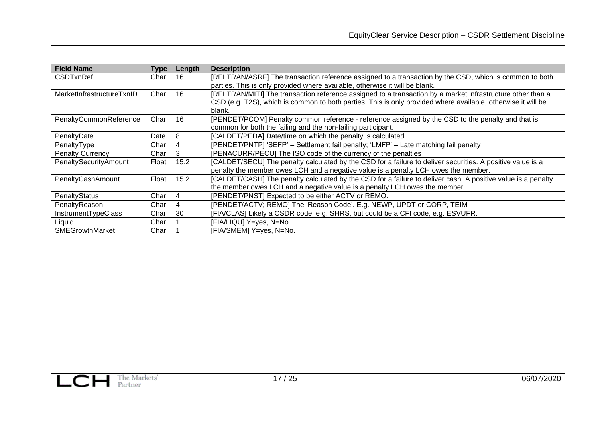| <b>Field Name</b>            | Type  | Length | <b>Description</b>                                                                                           |
|------------------------------|-------|--------|--------------------------------------------------------------------------------------------------------------|
| <b>CSDTxnRef</b>             | Char  | 16     | [RELTRAN/ASRF] The transaction reference assigned to a transaction by the CSD, which is common to both       |
|                              |       |        | parties. This is only provided where available, otherwise it will be blank.                                  |
| MarketInfrastructureTxnID    | Char  | 16     | [RELTRAN/MITI] The transaction reference assigned to a transaction by a market infrastructure other than a   |
|                              |       |        | CSD (e.g. T2S), which is common to both parties. This is only provided where available, otherwise it will be |
|                              |       |        | blank.                                                                                                       |
| PenaltyCommonReference       | Char  | 16     | [PENDET/PCOM] Penalty common reference - reference assigned by the CSD to the penalty and that is            |
|                              |       |        | common for both the failing and the non-failing participant.                                                 |
| PenaltyDate                  | Date  | 8      | [CALDET/PEDA] Date/time on which the penalty is calculated.                                                  |
| PenaltyType                  | Char  | 4      | [PENDET/PNTP] 'SEFP' - Settlement fail penalty; 'LMFP' - Late matching fail penalty                          |
| <b>Penalty Currency</b>      | Char  | 3      | [PENACURR/PECU] The ISO code of the currency of the penalties                                                |
| <b>PenaltySecurityAmount</b> | Float | 15.2   | [CALDET/SECU] The penalty calculated by the CSD for a failure to deliver securities. A positive value is a   |
|                              |       |        | penalty the member owes LCH and a negative value is a penalty LCH owes the member.                           |
| PenaltyCashAmount            | Float | 15.2   | [CALDET/CASH] The penalty calculated by the CSD for a failure to deliver cash. A positive value is a penalty |
|                              |       |        | the member owes LCH and a negative value is a penalty LCH owes the member.                                   |
| PenaltyStatus                | Char  | 4      | [PENDET/PNST] Expected to be either ACTV or REMO.                                                            |
| PenaltyReason                | Char  | 4      | [PENDET/ACTV; REMO] The 'Reason Code'. E.g. NEWP, UPDT or CORP, TEIM                                         |
| InstrumentTypeClass          | Char  | 30     | [FIA/CLAS] Likely a CSDR code, e.g. SHRS, but could be a CFI code, e.g. ESVUFR.                              |
| Liquid                       | Char  |        | [FIA/LIQU] Y=yes, N=No.                                                                                      |
| <b>SMEGrowthMarket</b>       | Char  |        | [FIA/SMEM] Y=yes, N=No.                                                                                      |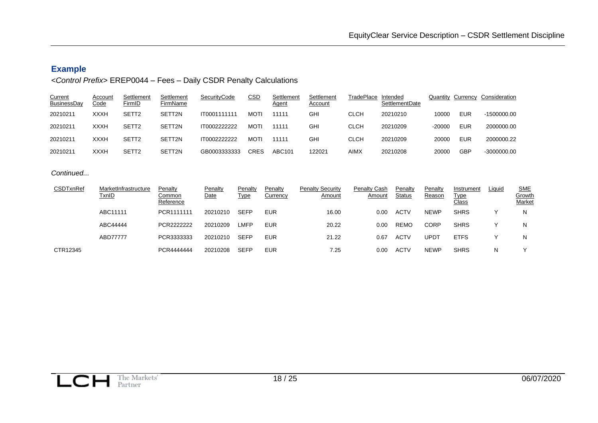### **Example**

### *<Control Prefix>* EREP0044 – Fees – Daily CSDR Penalty Calculations

| <b>Current</b><br><b>BusinessDay</b> | Account<br><u>Code</u> | Settlement<br>FirmID | Settlement<br>FirmName | SecurityCode        | <u>CSD</u>  | Settlement<br><u>Agent</u> | Settlement<br>Account | TradePlace | Intended<br><b>SettlementDate</b> | Quantity | Currency   | Consideration |
|--------------------------------------|------------------------|----------------------|------------------------|---------------------|-------------|----------------------------|-----------------------|------------|-----------------------------------|----------|------------|---------------|
| 20210211                             | <b>XXXH</b>            | SETT <sub>2</sub>    | SETT2N                 | IT0001111111        | <b>MOT</b>  | 11111                      | <b>GHI</b>            | CLCH       | 20210210                          | 10000    | EUR        | $-1500000.00$ |
| 20210211                             | <b>XXXH</b>            | SETT <sub>2</sub>    | SETT2N                 | <b>IT0002222222</b> | <b>MOTI</b> | 11111                      | GHI                   | CLCH       | 20210209                          | $-20000$ | <b>EUR</b> | 2000000.00    |
| 20210211                             | <b>XXXH</b>            | SETT <sub>2</sub>    | SETT2N                 | <b>IT0002222222</b> | <b>MOTI</b> | 11111                      | GHI                   | CLCH       | 20210209                          | 20000    | EUR        | 2000000.22    |
| 20210211                             | <b>XXXH</b>            | SETT <sub>2</sub>    | SETT2N                 | GB0003333333        | <b>CRES</b> | ABC101                     | 122021                | AIMX       | 20210208                          | 20000    | GBP        | $-3000000.00$ |

#### *Continued...*

<span id="page-17-0"></span>

| CSDTxnRef | MarketInfrastructure<br><u>TxnID</u> | Penalty<br>Common<br>Reference | Penalty<br>Date | Penalty<br><u>Type</u> | Penalty<br>Currency | <b>Penalty Security</b><br>Amount | <b>Penalty Cash</b><br>Amount | Penalty<br><b>Status</b> | Penalty<br>Reason | Instrument<br><u>Type</u><br><u>Class</u> | Liquid | <u>SME</u><br>Growth<br>Market |
|-----------|--------------------------------------|--------------------------------|-----------------|------------------------|---------------------|-----------------------------------|-------------------------------|--------------------------|-------------------|-------------------------------------------|--------|--------------------------------|
|           | ABC11111                             | PCR1111111                     | 20210210        | <b>SEFP</b>            | <b>EUR</b>          | 16.00                             | 0.00                          | ACTV                     | <b>NEWP</b>       | <b>SHRS</b>                               |        | N                              |
|           | ABC44444                             | PCR2222222                     | 20210209        | <b>LMFP</b>            | <b>EUR</b>          | 20.22                             | 0.00                          | <b>REMO</b>              | CORP              | <b>SHRS</b>                               |        | N                              |
|           | ABD77777                             | PCR3333333                     | 20210210        | <b>SEFP</b>            | <b>EUR</b>          | 21.22                             | 0.67                          | <b>ACTV</b>              | UPD"              | <b>ETFS</b>                               |        | N                              |
| CTR12345  |                                      | PCR444444                      | 20210208        | <b>SEFP</b>            | <b>EUR</b>          | 7.25                              | 0.00                          | ACTV                     | <b>NEWP</b>       | <b>SHRS</b>                               | N      |                                |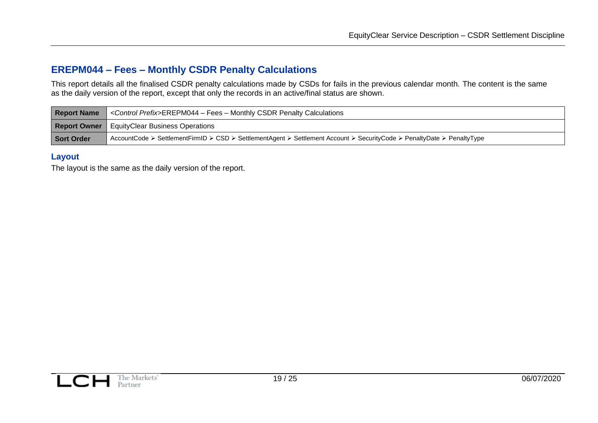### **EREPM044 – Fees – Monthly CSDR Penalty Calculations**

This report details all the finalised CSDR penalty calculations made by CSDs for fails in the previous calendar month. The content is the same as the daily version of the report, except that only the records in an active/final status are shown.

| <b>Report Name</b> | <control prefix="">EREPM044 - Fees - Monthly CSDR Penalty Calculations</control>                                       |
|--------------------|------------------------------------------------------------------------------------------------------------------------|
|                    | <b>Report Owner</b>   EquityClear Business Operations                                                                  |
| Sort Order         | AccountCode ≻ SettlementFirmID ≻ CSD ≻ SettlementAgent ≻ Settlement Account ≻ SecurityCode ≻ PenaltyDate ≻ PenaltyType |

#### **Layout**

<span id="page-18-1"></span><span id="page-18-0"></span>The layout is the same as the daily version of the report.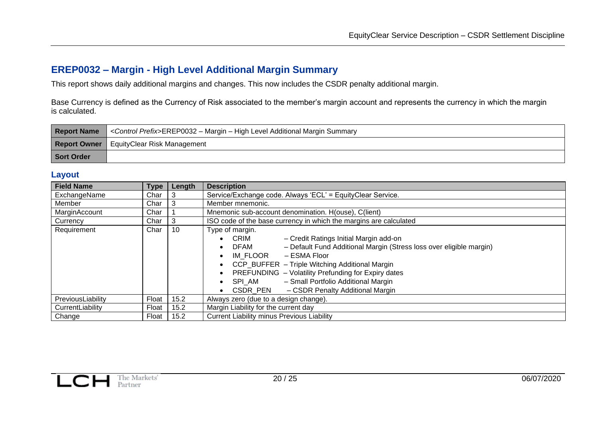# **EREP0032 – Margin - High Level Additional Margin Summary**

This report shows daily additional margins and changes. This now includes the CSDR penalty additional margin.

Base Currency is defined as the Currency of Risk associated to the member's margin account and represents the currency in which the margin is calculated.

| <b>Report Name</b> | <control prefix="">EREP0032 – Margin – High Level Additional Margin Summary</control> |
|--------------------|---------------------------------------------------------------------------------------|
|                    | <b>Report Owner</b>   EquityClear Risk Management                                     |
| Sort Order         |                                                                                       |

#### **Layout**

<span id="page-19-1"></span><span id="page-19-0"></span>

| <b>Field Name</b>                                   | Type  | Length | <b>Description</b>                                                                 |  |  |
|-----------------------------------------------------|-------|--------|------------------------------------------------------------------------------------|--|--|
| ExchangeName                                        | Char  | 3      | Service/Exchange code. Always 'ECL' = EquityClear Service.                         |  |  |
| Member                                              | Char  | 3      | Member mnemonic.                                                                   |  |  |
| MarginAccount                                       | Char  |        | Mnemonic sub-account denomination. H(ouse), C(lient)                               |  |  |
| Currency                                            | Char  | 3      | ISO code of the base currency in which the margins are calculated                  |  |  |
| Requirement                                         | Char  | 10     | Type of margin.                                                                    |  |  |
|                                                     |       |        | - Credit Ratings Initial Margin add-on<br><b>CRIM</b>                              |  |  |
|                                                     |       |        | - Default Fund Additional Margin (Stress loss over eligible margin)<br><b>DFAM</b> |  |  |
|                                                     |       |        | IM FLOOR<br>– ESMA Floor                                                           |  |  |
|                                                     |       |        | CCP_BUFFER - Triple Witching Additional Margin                                     |  |  |
| PREFUNDING - Volatility Prefunding for Expiry dates |       |        |                                                                                    |  |  |
|                                                     |       |        | - Small Portfolio Additional Margin<br>SPI AM                                      |  |  |
|                                                     |       |        | - CSDR Penalty Additional Margin<br>CSDR PEN                                       |  |  |
| PreviousLiability                                   | Float | 15.2   | Always zero (due to a design change).                                              |  |  |
| CurrentLiability                                    | Float | 15.2   | Margin Liability for the current day                                               |  |  |
| Change                                              | Float | 15.2   | <b>Current Liability minus Previous Liability</b>                                  |  |  |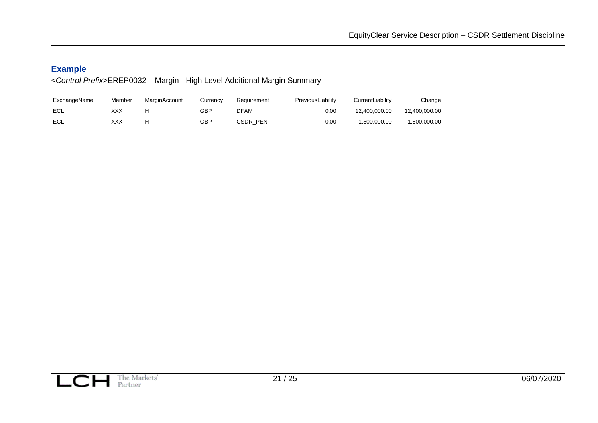# **Example**

*<Control Prefix>*EREP0032 – Margin - High Level Additional Margin Summary

<span id="page-20-0"></span>

| <b>ExchangeName</b> | Member | MarginAccount | Currency | Requirement | PreviousLiabilitv | CurrentLiability | <u>Change</u> |
|---------------------|--------|---------------|----------|-------------|-------------------|------------------|---------------|
| ECL                 | XXX    |               | GBP      | DFAM        | 0.00              | 12.400.000.00    | 12.400.000.00 |
| ECL                 | XXX    | H             | GBP      | CSDR PEN    | 0.00              | .800.000.00      | 1.800.000.00  |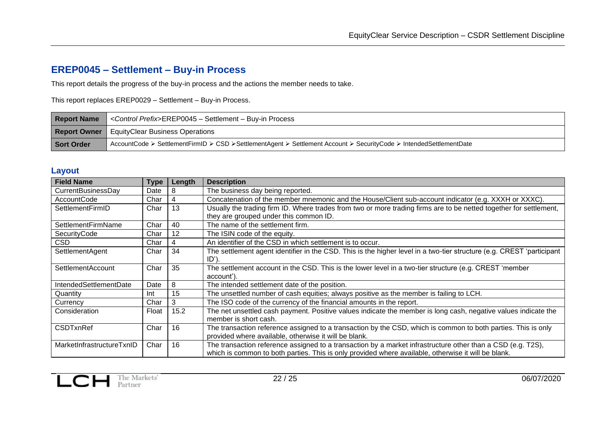# **EREP0045 – Settlement – Buy-in Process**

This report details the progress of the buy-in process and the actions the member needs to take.

This report replaces EREP0029 – Settlement – Buy-in Process.

| <b>Report Name</b> | <control prefix="">EREP0045 - Settlement - Buy-in Process</control>                                                |
|--------------------|--------------------------------------------------------------------------------------------------------------------|
|                    | <b>Report Owner</b>   EquityClear Business Operations                                                              |
| Sort Order         | AccountCode ≻ SettlementFirmID ≻ CSD ≻SettlementAgent ≻ Settlement Account ≻ SecurityCode ≻ IntendedSettlementDate |

### **Layout**

<span id="page-21-1"></span><span id="page-21-0"></span>

| <b>Field Name</b>         | Type  | Length | <b>Description</b>                                                                                                                                                                                                 |
|---------------------------|-------|--------|--------------------------------------------------------------------------------------------------------------------------------------------------------------------------------------------------------------------|
| CurrentBusinessDay        | Date  | 8      | The business day being reported.                                                                                                                                                                                   |
| AccountCode               | Char  | 4      | Concatenation of the member mnemonic and the House/Client sub-account indicator (e.g. XXXH or XXXC).                                                                                                               |
| SettlementFirmID          | Char  | 13     | Usually the trading firm ID. Where trades from two or more trading firms are to be netted together for settlement,<br>they are grouped under this common ID.                                                       |
| SettlementFirmName        | Char  | 40     | The name of the settlement firm.                                                                                                                                                                                   |
| SecurityCode              | Char  | 12     | The ISIN code of the equity.                                                                                                                                                                                       |
| <b>CSD</b>                | Char  | 4      | An identifier of the CSD in which settlement is to occur.                                                                                                                                                          |
| SettlementAgent           | Char  | 34     | The settlement agent identifier in the CSD. This is the higher level in a two-tier structure (e.g. CREST 'participant<br>$ID$ ).                                                                                   |
| SettlementAccount         | Char  | 35     | The settlement account in the CSD. This is the lower level in a two-tier structure (e.g. CREST 'member<br>account').                                                                                               |
| IntendedSettlementDate    | Date  | 8      | The intended settlement date of the position.                                                                                                                                                                      |
| Quantity                  | Int   | 15     | The unsettled number of cash equities; always positive as the member is failing to LCH.                                                                                                                            |
| Currency                  | Char  | 3      | The ISO code of the currency of the financial amounts in the report.                                                                                                                                               |
| Consideration             | Float | 15.2   | The net unsettled cash payment. Positive values indicate the member is long cash, negative values indicate the<br>member is short cash.                                                                            |
| <b>CSDTxnRef</b>          | Char  | 16     | The transaction reference assigned to a transaction by the CSD, which is common to both parties. This is only<br>provided where available, otherwise it will be blank.                                             |
| MarketInfrastructureTxnID | Char  | 16     | The transaction reference assigned to a transaction by a market infrastructure other than a CSD (e.g. T2S),<br>which is common to both parties. This is only provided where available, otherwise it will be blank. |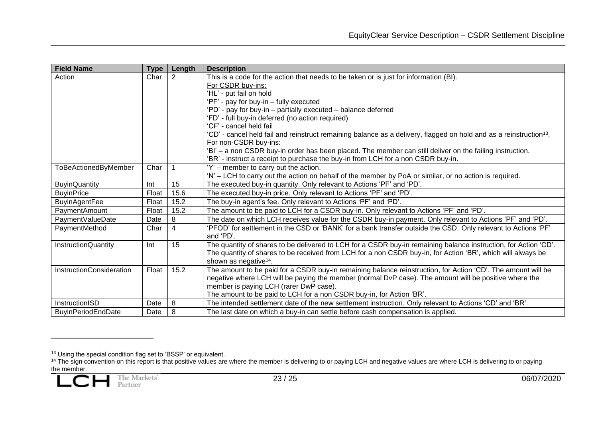| <b>Field Name</b>               | <b>Type</b> | Length | <b>Description</b>                                                                                                             |
|---------------------------------|-------------|--------|--------------------------------------------------------------------------------------------------------------------------------|
| Action                          | Char        | 2      | This is a code for the action that needs to be taken or is just for information (BI).                                          |
|                                 |             |        | For CSDR buy-ins:                                                                                                              |
|                                 |             |        | 'HL' - put fail on hold                                                                                                        |
|                                 |             |        | 'PF' - pay for buy-in - fully executed                                                                                         |
|                                 |             |        | 'PD' - pay for buy-in - partially executed - balance deferred                                                                  |
|                                 |             |        | 'FD' - full buy-in deferred (no action required)                                                                               |
|                                 |             |        | 'CF' - cancel held fail                                                                                                        |
|                                 |             |        | 'CD' - cancel held fail and reinstruct remaining balance as a delivery, flagged on hold and as a reinstruction <sup>13</sup> . |
|                                 |             |        | For non-CSDR buy-ins:                                                                                                          |
|                                 |             |        | 'BI' - a non CSDR buy-in order has been placed. The member can still deliver on the failing instruction.                       |
|                                 |             |        | 'BR' - instruct a receipt to purchase the buy-in from LCH for a non CSDR buy-in.                                               |
| <b>ToBeActionedByMember</b>     | Char        |        | 'Y' – member to carry out the action.                                                                                          |
|                                 |             |        | 'N' - LCH to carry out the action on behalf of the member by PoA or similar, or no action is required.                         |
| <b>BuyinQuantity</b>            | Int         | 15     | The executed buy-in quantity. Only relevant to Actions 'PF' and 'PD'.                                                          |
| <b>BuyinPrice</b>               | Float       | 15.6   | The executed buy-in price. Only relevant to Actions 'PF' and 'PD'.                                                             |
| <b>BuyinAgentFee</b>            | Float       | 15.2   | The buy-in agent's fee. Only relevant to Actions 'PF' and 'PD'.                                                                |
| PaymentAmount                   | Float       | 15.2   | The amount to be paid to LCH for a CSDR buy-in. Only relevant to Actions 'PF' and 'PD'.                                        |
| PaymentValueDate                | Date        | 8      | The date on which LCH receives value for the CSDR buy-in payment. Only relevant to Actions 'PF' and 'PD'.                      |
| PaymentMethod                   | Char        | 4      | 'PFOD' for settlement in the CSD or 'BANK' for a bank transfer outside the CSD. Only relevant to Actions 'PF'<br>and 'PD'.     |
| <b>InstructionQuantity</b>      | Int         | 15     | The quantity of shares to be delivered to LCH for a CSDR buy-in remaining balance instruction, for Action 'CD'.                |
|                                 |             |        | The quantity of shares to be received from LCH for a non CSDR buy-in, for Action 'BR', which will always be                    |
|                                 |             |        | shown as negative <sup>14</sup> .                                                                                              |
| <b>InstructionConsideration</b> | Float       | 15.2   | The amount to be paid for a CSDR buy-in remaining balance reinstruction, for Action 'CD'. The amount will be                   |
|                                 |             |        | negative where LCH will be paying the member (normal DvP case). The amount will be positive where the                          |
|                                 |             |        | member is paying LCH (rarer DwP case).                                                                                         |
|                                 |             |        | The amount to be paid to LCH for a non CSDR buy-in, for Action 'BR'.                                                           |
| InstructionISD                  | Date        | 8      | The intended settlement date of the new settlement instruction. Only relevant to Actions 'CD' and 'BR'.                        |
| <b>BuyinPeriodEndDate</b>       | Date        | 8      | The last date on which a buy-in can settle before cash compensation is applied.                                                |

<sup>&</sup>lt;sup>13</sup> Using the special condition flag set to 'BSSP' or equivalent.

<sup>&</sup>lt;sup>14</sup> The sign convention on this report is that positive values are where the member is delivering to or paying LCH and negative values are where LCH is delivering to or paying the member.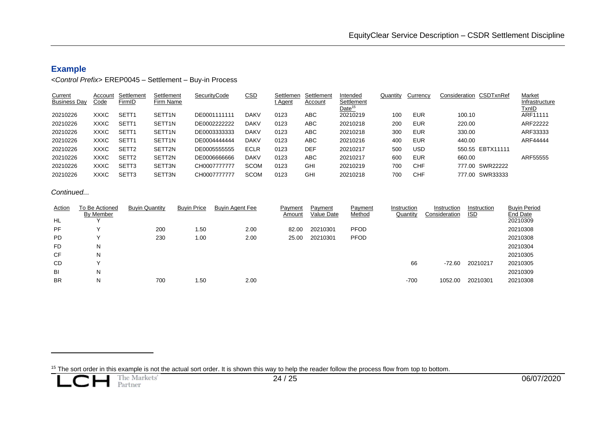### **Example**

#### *<Control Prefix>* EREP0045 – Settlement – Buy-in Process

| Current<br><b>Business Day</b> | Account<br>Code | Settlement<br>FirmID | Settlement<br>Firm Name | SecurityCode | <b>CSD</b>  | Settlemen<br>t Agent | Settlement<br>Account | Intended<br>Settlement<br>Date <sup>15</sup> | Quantity | Currency   | Consideration CSDTxnRef | Market<br>Infrastructure<br><u>TxnID</u> |
|--------------------------------|-----------------|----------------------|-------------------------|--------------|-------------|----------------------|-----------------------|----------------------------------------------|----------|------------|-------------------------|------------------------------------------|
| 20210226                       | XXXC            | SETT <sub>1</sub>    | SETT <sub>1N</sub>      | DE0001111111 | <b>DAKV</b> | 0123                 | ABC                   | 20210219                                     | 100      | <b>EUR</b> | 100.10                  | ARF11111                                 |
| 20210226                       | XXXC            | SETT <sub>1</sub>    | SETT <sub>1N</sub>      | DE0002222222 | <b>DAKV</b> | 0123                 | ABC                   | 20210218                                     | 200      | <b>EUR</b> | 220.00                  | ARF22222                                 |
| 20210226                       | <b>XXXC</b>     | SETT <sub>1</sub>    | SETT <sub>1N</sub>      | DE0003333333 | <b>DAKV</b> | 0123                 | ABC.                  | 20210218                                     | 300      | <b>EUR</b> | 330.00                  | ARF33333                                 |
| 20210226                       | XXXC            | SETT <sub>1</sub>    | SETT <sub>1N</sub>      | DE0004444444 | <b>DAKV</b> | 0123                 | ABC                   | 20210216                                     | 400      | <b>EUR</b> | 440.00                  | ARF44444                                 |
| 20210226                       | XXXC            | SETT <sub>2</sub>    | SETT2N                  | DE0005555555 | <b>ECLR</b> | 0123                 | DEF                   | 20210217                                     | 500      | <b>USD</b> | 550.55 EBTX11111        |                                          |
| 20210226                       | <b>XXXC</b>     | SETT <sub>2</sub>    | SETT2N                  | DE0006666666 | <b>DAKV</b> | 0123                 | ABC                   | 20210217                                     | 600      | <b>EUR</b> | 660.00                  | ARF55555                                 |
| 20210226                       | <b>XXXC</b>     | SETT3                | SETT3N                  | CH0007777777 | <b>SCOM</b> | 0123                 | GHI                   | 20210219                                     | 700      | <b>CHF</b> | 777.00 SWR22222         |                                          |
| 20210226                       | XXXC            | SETT <sub>3</sub>    | SETT3N                  | CH0007777777 | <b>SCOM</b> | 0123                 | GHI                   | 20210218                                     | 700      | CHF        | 777.00 SWR33333         |                                          |

#### *Continued...*

<span id="page-23-0"></span>

| Action    | To Be Actioned | <b>Buyin Quantity</b> | <b>Buyin Price</b> | <b>Buyin Agent Fee</b> | Payment | Payment    | Payment     | Instruction | Instruction   | Instruction | <b>Buyin Period</b> |
|-----------|----------------|-----------------------|--------------------|------------------------|---------|------------|-------------|-------------|---------------|-------------|---------------------|
|           | By Member      |                       |                    |                        | Amount  | Value Date | Method      | Quantity    | Consideration | <u>ISD</u>  | End Date            |
| HL        |                |                       |                    |                        |         |            |             |             |               |             | 20210309            |
| PF        |                | 200                   | 1.50               | 2.00                   | 82.00   | 20210301   | <b>PFOD</b> |             |               |             | 20210308            |
| <b>PD</b> |                | 230                   | 1.00               | 2.00                   | 25.00   | 20210301   | <b>PFOD</b> |             |               |             | 20210308            |
| <b>FD</b> | N              |                       |                    |                        |         |            |             |             |               |             | 20210304            |
| CF        | N              |                       |                    |                        |         |            |             |             |               |             | 20210305            |
| CD        |                |                       |                    |                        |         |            |             | 66          | $-72.60$      | 20210217    | 20210305            |
| BI        | N              |                       |                    |                        |         |            |             |             |               |             | 20210309            |
| <b>BR</b> | N              | 700                   | l.50               | 2.00                   |         |            |             | -700        | 1052.00       | 20210301    | 20210308            |

<sup>15</sup> The sort order in this example is not the actual sort order. It is shown this way to help the reader follow the process flow from top to bottom.